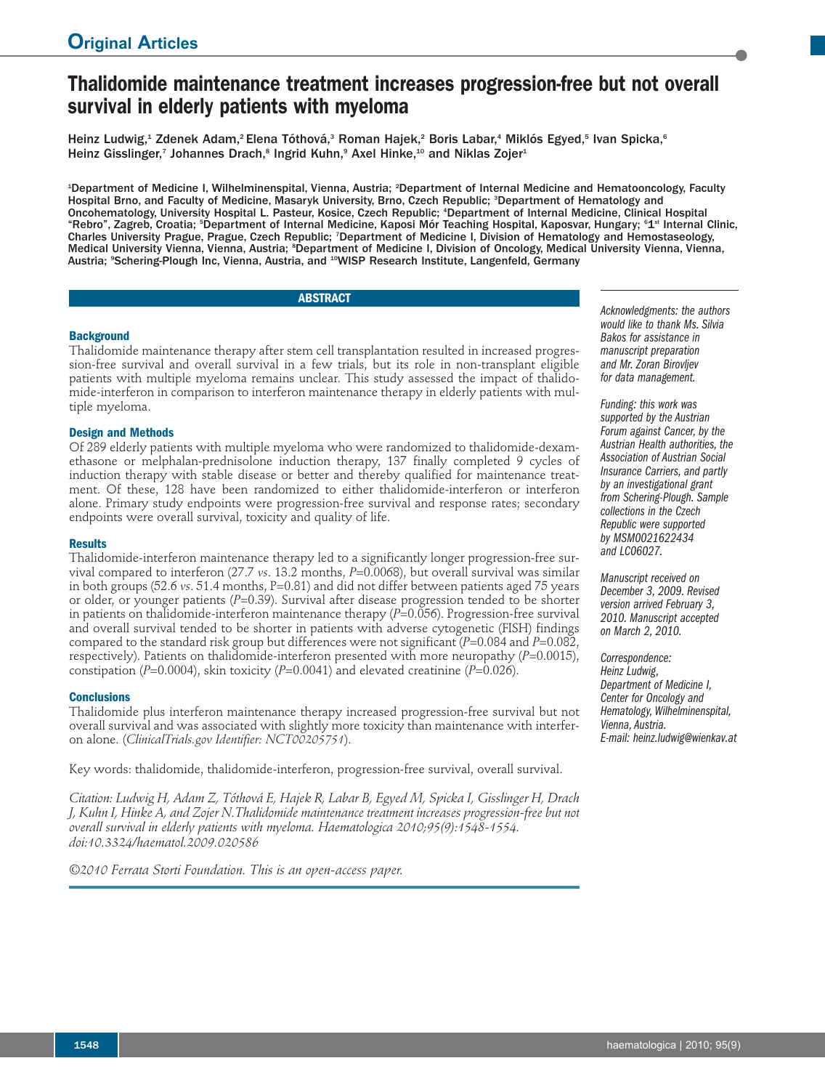# **Thalidomide maintenance treatment increases progression-free but not overall survival in elderly patients with myeloma**

Heinz Ludwig,<sup>1</sup> Zdenek Adam,<sup>2</sup> Elena Tóthová,<sup>3</sup> Roman Hajek,<sup>2</sup> Boris Labar,<sup>4</sup> Miklós Egyed,<sup>5</sup> Ivan Spicka,<sup>6</sup> Heinz Gisslinger,<sup>7</sup> Johannes Drach,<sup>8</sup> Ingrid Kuhn,<sup>9</sup> Axel Hinke,<sup>10</sup> and Niklas Zojer<sup>1</sup>

<sup>1</sup>Department of Medicine I, Wilhelminenspital, Vienna, Austria; <sup>2</sup>Department of Internal Medicine and Hematooncology, Faculty Hospital Brno, and Faculty of Medicine, Masaryk University, Brno, Czech Republic; <sup>3</sup> Department of Hematology and Oncohematology, University Hospital L. Pasteur, Kosice, Czech Republic; <sup>4</sup> Department of Internal Medicine, Clinical Hospital "Rebro", Zagreb, Croatia; <sup>s</sup>Department of Internal Medicine, Kaposi Mór Teaching Hospital, Kaposvar, Hungary; <sup>s</sup>1<sup>st</sup> Internal Clinic, Charles University Prague, Prague, Czech Republic; 7Department of Medicine I, Division of Hematology and Hemostaseology, Medical University Vienna, Vienna, Austria; <sup>s</sup>Department of Medicine I, Division of Oncology, Medical University Vienna, Vienna, Austria; <sup>9</sup>Schering-Plough Inc, Vienna, Austria, and <sup>10</sup>WISP Research Institute, Langenfeld, Germany

# **ABSTRACT**

# **Background**

Thalidomide maintenance therapy after stem cell transplantation resulted in increased progression-free survival and overall survival in a few trials, but its role in non-transplant eligible patients with multiple myeloma remains unclear. This study assessed the impact of thalidomide-interferon in comparison to interferon maintenance therapy in elderly patients with multiple myeloma.

## **Design and Methods**

Of 289 elderly patients with multiple myeloma who were randomized to thalidomide-dexamethasone or melphalan-prednisolone induction therapy, 137 finally completed 9 cycles of induction therapy with stable disease or better and thereby qualified for maintenance treatment. Of these, 128 have been randomized to either thalidomide-interferon or interferon alone. Primary study endpoints were progression-free survival and response rates; secondary endpoints were overall survival, toxicity and quality of life.

## **Results**

Thalidomide-interferon maintenance therapy led to a significantly longer progression-free survival compared to interferon (27.7 *vs*. 13.2 months, *P*=0.0068), but overall survival was similar in both groups (52.6 *vs*. 51.4 months, P=0.81) and did not differ between patients aged 75 years or older, or younger patients (*P*=0.39). Survival after disease progression tended to be shorter in patients on thalidomide-interferon maintenance therapy (*P*=0.056). Progression-free survival and overall survival tended to be shorter in patients with adverse cytogenetic (FISH) findings compared to the standard risk group but differences were not significant (*P*=0.084 and *P*=0.082, respectively). Patients on thalidomide-interferon presented with more neuropathy (*P*=0.0015), constipation (*P*=0.0004), skin toxicity (*P*=0.0041) and elevated creatinine (*P*=0.026).

### **Conclusions**

Thalidomide plus interferon maintenance therapy increased progression-free survival but not overall survival and was associated with slightly more toxicity than maintenance with interferon alone. (*ClinicalTrials.gov Identifier: NCT00205751*).

Key words: thalidomide, thalidomide-interferon, progression-free survival, overall survival.

*Citation: Ludwig H, Adam Z, Tóthová E, Hajek R, Labar B, Egyed M, Spicka I, Gisslinger H, Drach J, Kuhn I, Hinke A, and Zojer N.Thalidomide maintenance treatment increases progression-free but not overall survival in elderly patients with myeloma. Haematologica 2010;95(9):1548-1554. doi:10.3324/haematol.2009.020586*

*©2010 Ferrata Storti Foundation. This is an open-access paper.*

*Acknowledgments: the authors would like to thank Ms. Silvia Bakos for assistance in manuscript preparation and Mr. Zoran Birovljev for data management.*

*Funding: this work was supported by the Austrian Forum against Cancer*, *by the Austrian Health authorities, the Association of Austrian Social Insurance Carriers, and partly by an investigational grant from Schering-Plough. Sample collections in the Czech Republic were supported by MSM0021622434 and LC06027.*

*Manuscript received on December 3, 2009. Revised version arrived February 3, 2010. Manuscript accepted on March 2, 2010.*

*Correspondence: Heinz Ludwig, Department of Medicine I, Center for Oncology and Hematology,Wilhelminenspital, Vienna, Austria. E-mail: heinz.ludwig@wienkav.at*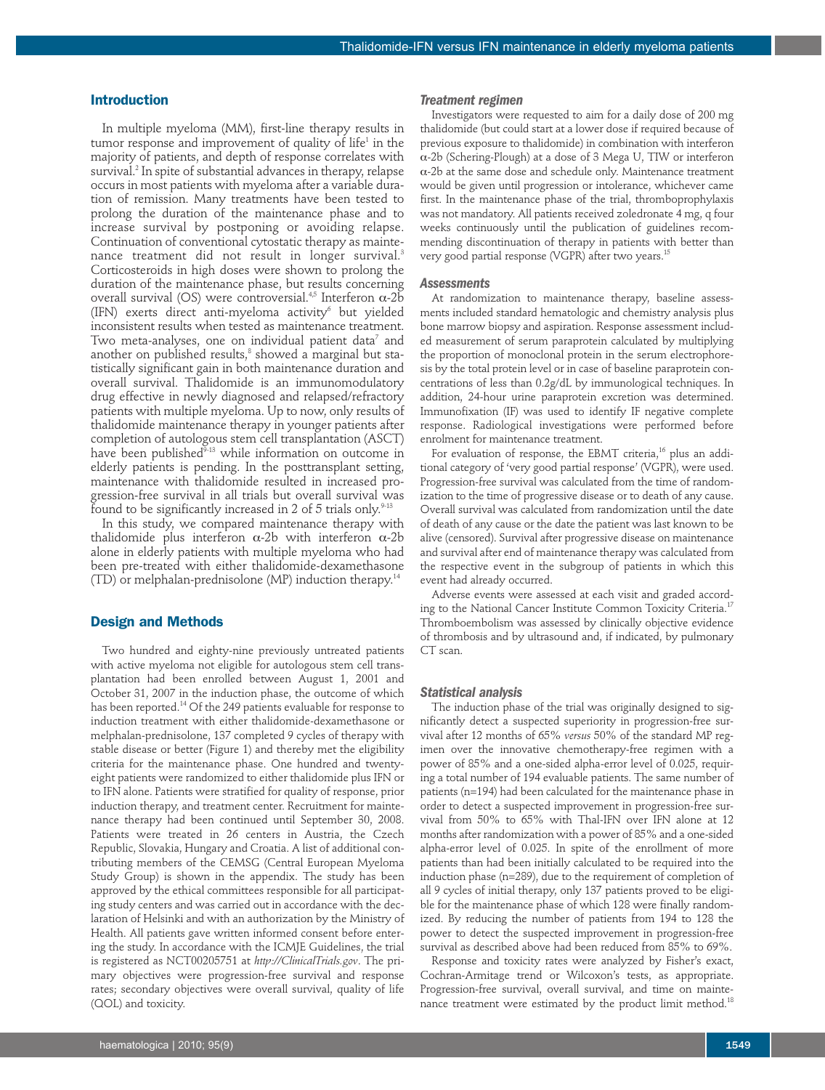## **Introduction**

In multiple myeloma (MM), first-line therapy results in tumor response and improvement of quality of life<sup>1</sup> in the majority of patients, and depth of response correlates with survival. <sup>2</sup> In spite of substantial advances in therapy, relapse occurs in most patients with myeloma after a variable duration of remission. Many treatments have been tested to prolong the duration of the maintenance phase and to increase survival by postponing or avoiding relapse. Continuation of conventional cytostatic therapy as maintenance treatment did not result in longer survival. 3 Corticosteroids in high doses were shown to prolong the duration of the maintenance phase, but results concerning overall survival (OS) were controversial.<sup>4,5</sup> Interferon  $α$ -2b (IFN) exerts direct anti-myeloma activity $6$  but yielded inconsistent results when tested as maintenance treatment. Two meta-analyses, one on individual patient data $^7$  and another on published results, <sup>8</sup> showed a marginal but statistically significant gain in both maintenance duration and overall survival. Thalidomide is an immunomodulatory drug effective in newly diagnosed and relapsed/refractory patients with multiple myeloma. Up to now, only results of thalidomide maintenance therapy in younger patients after completion of autologous stem cell transplantation (ASCT) have been published<sup>9-13</sup> while information on outcome in elderly patients is pending. In the posttransplant setting, maintenance with thalidomide resulted in increased progression-free survival in all trials but overall survival was found to be significantly increased in 2 of 5 trials only. $^{\scriptscriptstyle 9\text{-}13}$ 

In this study, we compared maintenance therapy with thalidomide plus interferon α-2b with interferon α-2b alone in elderly patients with multiple myeloma who had been pre-treated with either thalidomide-dexamethasone (TD) or melphalan-prednisolone (MP) induction therapy. 14

# **Design and Methods**

Two hundred and eighty-nine previously untreated patients with active myeloma not eligible for autologous stem cell transplantation had been enrolled between August 1, 2001 and October 31, 2007 in the induction phase, the outcome of which has been reported.<sup>14</sup> Of the 249 patients evaluable for response to induction treatment with either thalidomide-dexamethasone or melphalan-prednisolone, 137 completed 9 cycles of therapy with stable disease or better (Figure 1) and thereby met the eligibility criteria for the maintenance phase. One hundred and twentyeight patients were randomized to either thalidomide plus IFN or to IFN alone. Patients were stratified for quality of response, prior induction therapy, and treatment center. Recruitment for maintenance therapy had been continued until September 30, 2008. Patients were treated in 26 centers in Austria, the Czech Republic, Slovakia, Hungary and Croatia. A list of additional contributing members of the CEMSG (Central European Myeloma Study Group) is shown in the appendix. The study has been approved by the ethical committees responsible for all participating study centers and was carried out in accordance with the declaration of Helsinki and with an authorization by the Ministry of Health. All patients gave written informed consent before entering the study. In accordance with the ICMJE Guidelines, the trial is registered as NCT00205751 at *http://ClinicalTrials.gov*. The primary objectives were progression-free survival and response rates; secondary objectives were overall survival, quality of life (QOL) and toxicity.

Investigators were requested to aim for a daily dose of 200 mg thalidomide (but could start at a lower dose if required because of previous exposure to thalidomide) in combination with interferon α-2b (Schering-Plough) at a dose of 3 Mega U, TIW or interferon α-2b at the same dose and schedule only. Maintenance treatment would be given until progression or intolerance, whichever came first. In the maintenance phase of the trial, thromboprophylaxis was not mandatory. All patients received zoledronate 4 mg, q four weeks continuously until the publication of guidelines recommending discontinuation of therapy in patients with better than very good partial response (VGPR) after two years. 15

#### *Assessments*

At randomization to maintenance therapy, baseline assessments included standard hematologic and chemistry analysis plus bone marrow biopsy and aspiration. Response assessment included measurement of serum paraprotein calculated by multiplying the proportion of monoclonal protein in the serum electrophoresis by the total protein level or in case of baseline paraprotein concentrations of less than 0.2g/dL by immunological techniques. In addition, 24-hour urine paraprotein excretion was determined. Immunofixation (IF) was used to identify IF negative complete response. Radiological investigations were performed before enrolment for maintenance treatment.

For evaluation of response, the EBMT criteria, <sup>16</sup> plus an additional category of 'very good partial response' (VGPR), were used. Progression-free survival was calculated from the time of randomization to the time of progressive disease or to death of any cause. Overall survival was calculated from randomization until the date of death of any cause or the date the patient was last known to be alive (censored). Survival after progressive disease on maintenance and survival after end of maintenance therapy was calculated from the respective event in the subgroup of patients in which this event had already occurred.

Adverse events were assessed at each visit and graded according to the National Cancer Institute Common Toxicity Criteria. 17 Thromboembolism was assessed by clinically objective evidence of thrombosis and by ultrasound and, if indicated, by pulmonary CT scan.

#### *Statistical analysis*

The induction phase of the trial was originally designed to significantly detect a suspected superiority in progression-free survival after 12 months of 65% *versus* 50% of the standard MP regimen over the innovative chemotherapy-free regimen with a power of 85% and a one-sided alpha-error level of 0.025, requiring a total number of 194 evaluable patients. The same number of patients (n=194) had been calculated for the maintenance phase in order to detect a suspected improvement in progression-free survival from 50% to 65% with Thal-IFN over IFN alone at 12 months after randomization with a power of 85% and a one-sided alpha-error level of 0.025. In spite of the enrollment of more patients than had been initially calculated to be required into the induction phase (n=289), due to the requirement of completion of all 9 cycles of initial therapy, only 137 patients proved to be eligible for the maintenance phase of which 128 were finally randomized. By reducing the number of patients from 194 to 128 the power to detect the suspected improvement in progression-free survival as described above had been reduced from 85% to 69%.

Response and toxicity rates were analyzed by Fisher's exact, Cochran-Armitage trend or Wilcoxon's tests, as appropriate. Progression-free survival, overall survival, and time on maintenance treatment were estimated by the product limit method. $^{18}$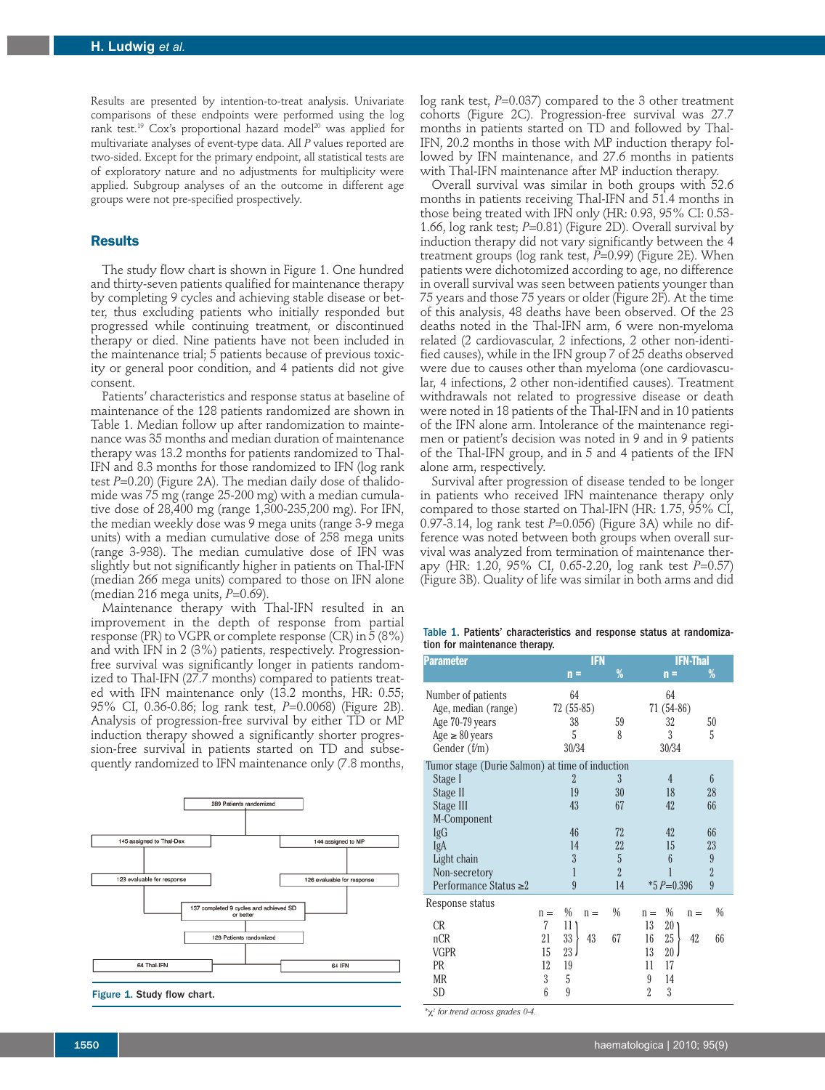Results are presented by intention-to-treat analysis. Univariate comparisons of these endpoints were performed using the log rank test.<sup>19</sup> Cox's proportional hazard model<sup>20</sup> was applied for multivariate analyses of event-type data. All *P* values reported are two-sided. Except for the primary endpoint, all statistical tests are of exploratory nature and no adjustments for multiplicity were applied. Subgroup analyses of an the outcome in different age groups were not pre-specified prospectively.

# **Results**

The study flow chart is shown in Figure 1. One hundred and thirty-seven patients qualified for maintenance therapy by completing 9 cycles and achieving stable disease or better, thus excluding patients who initially responded but progressed while continuing treatment, or discontinued therapy or died. Nine patients have not been included in the maintenance trial; 5 patients because of previous toxicity or general poor condition, and 4 patients did not give consent.

Patients' characteristics and response status at baseline of maintenance of the 128 patients randomized are shown in Table 1. Median follow up after randomization to maintenance was 35 months and median duration of maintenance therapy was 13.2 months for patients randomized to Thal-IFN and 8.3 months for those randomized to IFN (log rank test *P*=0.20) (Figure 2A). The median daily dose of thalidomide was 75 mg (range 25-200 mg) with a median cumulative dose of 28,400 mg (range 1,300-235,200 mg). For IFN, the median weekly dose was 9 mega units (range 3-9 mega units) with a median cumulative dose of 258 mega units (range 3-938). The median cumulative dose of IFN was slightly but not significantly higher in patients on Thal-IFN (median 266 mega units) compared to those on IFN alone (median 216 mega units, *P*=0.69).

Maintenance therapy with Thal-IFN resulted in an improvement in the depth of response from partial response (PR) to VGPR or complete response (CR) in 5 (8%) and with IFN in 2 (3%) patients, respectively. Progressionfree survival was significantly longer in patients randomized to Thal-IFN (27.7 months) compared to patients treated with IFN maintenance only (13.2 months, HR: 0.55; 95% CI, 0.36-0.86; log rank test, *P*=0.0068) (Figure 2B). Analysis of progression-free survival by either TD or MP induction therapy showed a significantly shorter progression-free survival in patients started on TD and subsequently randomized to IFN maintenance only (7.8 months,



log rank test, *P*=0.037) compared to the 3 other treatment cohorts (Figure 2C). Progression-free survival was 27.7 months in patients started on TD and followed by Thal-IFN, 20.2 months in those with MP induction therapy followed by IFN maintenance, and 27.6 months in patients with Thal-IFN maintenance after MP induction therapy.

Overall survival was similar in both groups with 52.6 months in patients receiving Thal-IFN and 51.4 months in those being treated with IFN only (HR: 0.93, 95% CI: 0.53- 1.66, log rank test; *P*=0.81) (Figure 2D). Overall survival by induction therapy did not vary significantly between the 4 treatment groups (log rank test, *P*=0.99) (Figure 2E). When patients were dichotomized according to age, no difference in overall survival was seen between patients younger than 75 years and those 75 years or older (Figure 2F). At the time of this analysis, 48 deaths have been observed. Of the 23 deaths noted in the Thal-IFN arm, 6 were non-myeloma related (2 cardiovascular, 2 infections, 2 other non-identified causes), while in the IFN group 7 of 25 deaths observed were due to causes other than myeloma (one cardiovascular, 4 infections, 2 other non-identified causes). Treatment withdrawals not related to progressive disease or death were noted in 18 patients of the Thal-IFN and in 10 patients of the IFN alone arm. Intolerance of the maintenance regimen or patient's decision was noted in 9 and in 9 patients of the Thal-IFN group, and in 5 and 4 patients of the IFN alone arm, respectively.

Survival after progression of disease tended to be longer in patients who received IFN maintenance therapy only compared to those started on Thal-IFN (HR: 1.75, 95% CI, 0.97-3.14, log rank test *P*=0.056) (Figure 3A) while no difference was noted between both groups when overall survival was analyzed from termination of maintenance therapy (HR: 1.20, 95% CI, 0.65-2.20, log rank test *P*=0.57) (Figure 3B). Quality of life was similar in both arms and did

Table 1. Patients' characteristics and response status at randomization for maintenance therapy.

| Parameter                                                                                           | <b>IFN</b>                                                     |                | <b>IFN-Thal</b>                                                   |                 |  |
|-----------------------------------------------------------------------------------------------------|----------------------------------------------------------------|----------------|-------------------------------------------------------------------|-----------------|--|
|                                                                                                     | $n =$                                                          | %              | $n =$                                                             | %               |  |
| Number of patients<br>Age, median (range)<br>Age 70-79 years<br>$Age \geq 80 years$<br>Gender (f/m) | 64<br>$72(55-85)$<br>38<br>5<br>30/34                          | 59<br>8        | 64<br>$71(54-86)$<br>32<br>3<br>30/34                             | 50<br>5         |  |
| Tumor stage (Durie Salmon) at time of induction                                                     |                                                                |                |                                                                   |                 |  |
| Stage I                                                                                             | $\overline{2}$                                                 | 3              | 4                                                                 | $6\overline{6}$ |  |
| Stage II                                                                                            | 19                                                             | 30             | 18                                                                | 28              |  |
| Stage III                                                                                           | 43                                                             | 67             | 42                                                                | 66              |  |
| M-Component                                                                                         |                                                                |                |                                                                   |                 |  |
| IgG                                                                                                 | 46                                                             | 72             | 42                                                                | 66              |  |
| IgA                                                                                                 | 14                                                             | 22             | 15                                                                | 23              |  |
| Light chain                                                                                         | 3                                                              | 5              | $6\overline{6}$                                                   | 9               |  |
| Non-secretory                                                                                       | 1                                                              | $\overline{2}$ |                                                                   | $\overline{2}$  |  |
| Performance Status $\geq 2$                                                                         | 9                                                              | 14             | $*5P=0.396$                                                       | 9               |  |
| Response status<br>CR<br>nCR                                                                        | $\%$<br>$n =$<br>$n =$<br>7<br>11<br>33<br>21<br>43            | $\%$<br>67     | $\%$<br>$n =$<br>$n =$<br>13<br>20 <sub>1</sub><br>25<br>16<br>42 | $\%$<br>66      |  |
| <b>VGPR</b><br>PR<br>MR<br>SD                                                                       | 23 <sub>l</sub><br>15<br>19<br>12<br>$\sqrt{3}$<br>5<br>9<br>6 |                | 13<br>20<br>17<br>11<br>9<br>14<br>$\overline{2}$<br>3            |                 |  |
|                                                                                                     |                                                                |                |                                                                   |                 |  |

*\**χ*<sup>2</sup> for trend across grades 0-4.*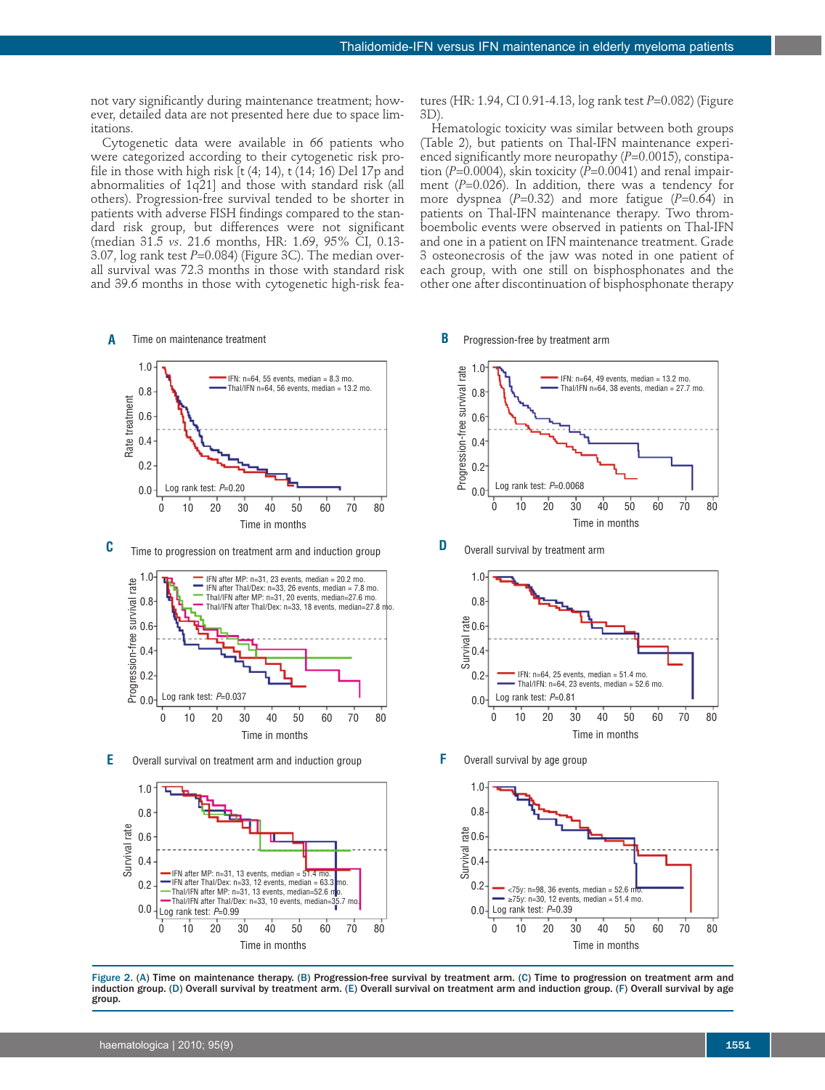not vary significantly during maintenance treatment; however, detailed data are not presented here due to space limitations.

Cytogenetic data were available in 66 patients who were categorized according to their cytogenetic risk profile in those with high risk  $[t (4; 14), t (14; 16)$  Del 17p and abnormalities of 1q21] and those with standard risk (all others). Progression-free survival tended to be shorter in patients with adverse FISH findings compared to the standard risk group, but differences were not significant (median 31.5 *vs*. 21.6 months, HR: 1.69, 95% CI, 0.13- 3.07, log rank test *P*=0.084) (Figure 3C). The median overall survival was 72.3 months in those with standard risk and 39.6 months in those with cytogenetic high-risk fea-



**C** Time to progression on treatment arm and induction group



**E** Overall survival on treatment arm and induction group  $\mathsf F$  Overall survival by age group



tures (HR: 1.94, CI 0.91-4.13, log rank test *P*=0.082) (Figure 3D).

Hematologic toxicity was similar between both groups (Table 2), but patients on Thal-IFN maintenance experienced significantly more neuropathy (*P*=0.0015), constipation ( $P=0.0004$ ), skin toxicity ( $P=0.0041$ ) and renal impairment (*P*=0.026). In addition, there was a tendency for more dyspnea (*P*=0.32) and more fatigue (*P*=0.64) in patients on Thal-IFN maintenance therapy. Two thromboembolic events were observed in patients on Thal-IFN and one in a patient on IFN maintenance treatment. Grade 3 osteonecrosis of the jaw was noted in one patient of each group, with one still on bisphosphonates and the other one after discontinuation of bisphosphonate therapy

## **B**



**D** Overall survival by treatment arm



**F**



Figure 2. (A) Time on maintenance therapy. (B) Progression-free survival by treatment arm. (C) Time to progression on treatment arm and induction group. (D) Overall survival by treatment arm. (E) Overall survival on treatment arm and induction group. (F) Overall survival by age group.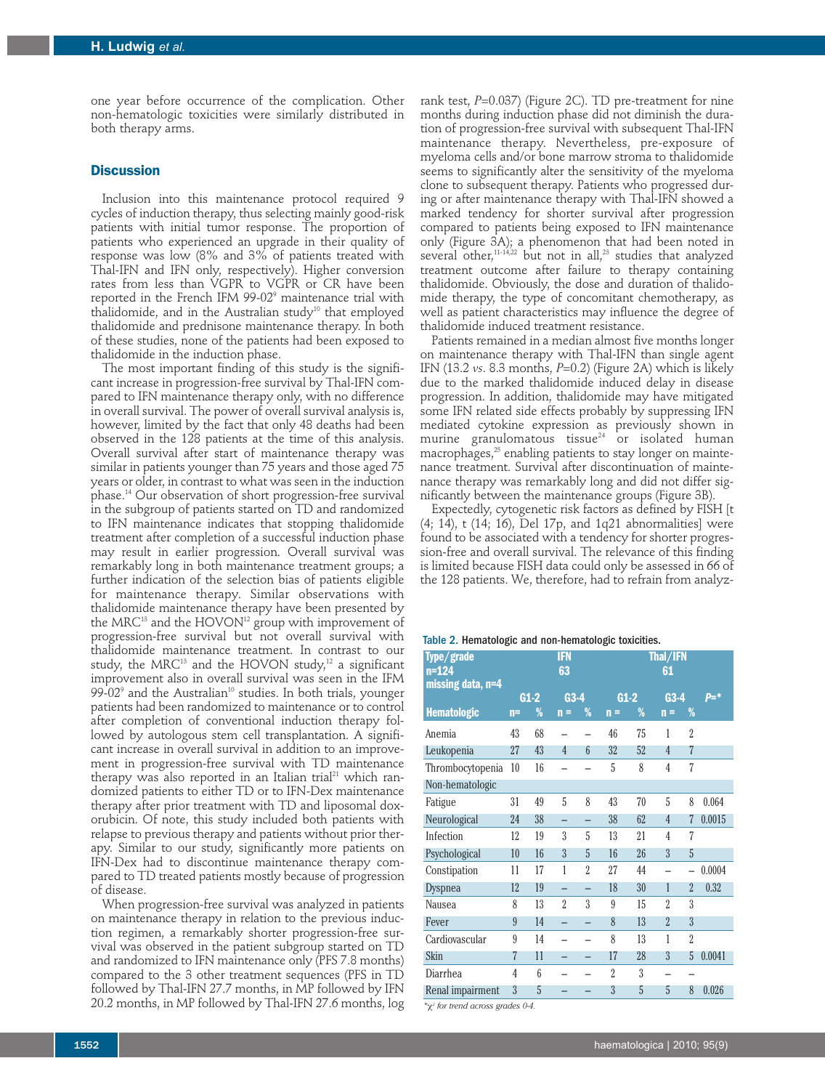one year before occurrence of the complication. Other non-hematologic toxicities were similarly distributed in both therapy arms.

#### **Discussion**

Inclusion into this maintenance protocol required 9 cycles of induction therapy, thus selecting mainly good-risk patients with initial tumor response. The proportion of patients who experienced an upgrade in their quality of response was low (8% and 3% of patients treated with Thal-IFN and IFN only, respectively). Higher conversion rates from less than VGPR to VGPR or CR have been reported in the French IFM 99-02<sup>9</sup> maintenance trial with thalidomide, and in the Australian study<sup>10</sup> that employed thalidomide and prednisone maintenance therapy. In both of these studies, none of the patients had been exposed to thalidomide in the induction phase.

The most important finding of this study is the significant increase in progression-free survival by Thal-IFN compared to IFN maintenance therapy only, with no difference in overall survival. The power of overall survival analysis is, however, limited by the fact that only 48 deaths had been observed in the 128 patients at the time of this analysis. Overall survival after start of maintenance therapy was similar in patients younger than 75 years and those aged 75 years or older, in contrast to what was seen in the induction phase. <sup>14</sup> Our observation of short progression-free survival in the subgroup of patients started on TD and randomized to IFN maintenance indicates that stopping thalidomide treatment after completion of a successful induction phase may result in earlier progression. Overall survival was remarkably long in both maintenance treatment groups; a further indication of the selection bias of patients eligible for maintenance therapy. Similar observations with thalidomide maintenance therapy have been presented by the MRC $^{13}$  and the HOVON $^{12}$  group with improvement of progression-free survival but not overall survival with thalidomide maintenance treatment. In contrast to our study, the MRC $^{\scriptscriptstyle 13}$  and the HOVON study, $^{\scriptscriptstyle 12}$  a significant improvement also in overall survival was seen in the IFM  $99-02^9$  and the Australian<sup>10</sup> studies. In both trials, younger patients had been randomized to maintenance or to control after completion of conventional induction therapy followed by autologous stem cell transplantation. A significant increase in overall survival in addition to an improvement in progression-free survival with TD maintenance therapy was also reported in an Italian trial $^{\scriptscriptstyle 21}$  which randomized patients to either TD or to IFN-Dex maintenance therapy after prior treatment with TD and liposomal doxorubicin. Of note, this study included both patients with relapse to previous therapy and patients without prior therapy. Similar to our study, significantly more patients on IFN-Dex had to discontinue maintenance therapy compared to TD treated patients mostly because of progression of disease.

When progression-free survival was analyzed in patients on maintenance therapy in relation to the previous induction regimen, a remarkably shorter progression-free survival was observed in the patient subgroup started on TD and randomized to IFN maintenance only (PFS 7.8 months) compared to the 3 other treatment sequences (PFS in TD followed by Thal-IFN 27.7 months, in MP followed by IFN 20.2 months, in MP followed by Thal-IFN 27.6 months, log

rank test, *P*=0.037) (Figure 2C). TD pre-treatment for nine months during induction phase did not diminish the duration of progression-free survival with subsequent Thal-IFN maintenance therapy. Nevertheless, pre-exposure of myeloma cells and/or bone marrow stroma to thalidomide seems to significantly alter the sensitivity of the myeloma clone to subsequent therapy. Patients who progressed during or after maintenance therapy with Thal-IFN showed a marked tendency for shorter survival after progression compared to patients being exposed to IFN maintenance only (Figure 3A); a phenomenon that had been noted in several other, 11-14,22 but not in all, <sup>23</sup> studies that analyzed treatment outcome after failure to therapy containing thalidomide. Obviously, the dose and duration of thalidomide therapy, the type of concomitant chemotherapy, as well as patient characteristics may influence the degree of thalidomide induced treatment resistance.

Patients remained in a median almost five months longer on maintenance therapy with Thal-IFN than single agent IFN (13.2 *vs*. 8.3 months, *P*=0.2) (Figure 2A) which is likely due to the marked thalidomide induced delay in disease progression. In addition, thalidomide may have mitigated some IFN related side effects probably by suppressing IFN mediated cytokine expression as previously shown in murine granulomatous tissue<sup>24</sup> or isolated human macrophages, <sup>25</sup> enabling patients to stay longer on maintenance treatment. Survival after discontinuation of maintenance therapy was remarkably long and did not differ significantly between the maintenance groups (Figure 3B).

Expectedly, cytogenetic risk factors as defined by FISH [t (4; 14), t (14; 16), Del 17p, and 1q21 abnormalities] were found to be associated with a tendency for shorter progression-free and overall survival. The relevance of this finding is limited because FISH data could only be assessed in 66 of the 128 patients. We, therefore, had to refrain from analyz-

| Type/grade<br>$n = 124$ | $\sim$ 2. Homatologio and non-nomatologio toxiontros.<br><b>IFN</b><br>63 |                  |                          |                           | <b>Thal/IFN</b><br>61    |    |                |                |                   |
|-------------------------|---------------------------------------------------------------------------|------------------|--------------------------|---------------------------|--------------------------|----|----------------|----------------|-------------------|
| missing data, n=4       | $G1-2$                                                                    |                  | $G3-4$                   |                           | $G1-2$                   |    | $G3-4$         |                | $\overline{p}$ =* |
| <b>Hematologic</b>      | $n=$                                                                      | %                | n                        | %                         | $n =$                    | %  | n<br>$\equiv$  | %              |                   |
| Anemia                  | 43                                                                        | 68               |                          |                           | 46                       | 75 | 1              | $\overline{2}$ |                   |
| Leukopenia              | 27                                                                        | 43               | $\overline{4}$           | $6\overline{6}$           | 32                       | 52 | $\overline{4}$ | $\overline{7}$ |                   |
| Thrombocytopenia        | 10                                                                        | 16               |                          |                           | 5                        | 8  | 4              | 7              |                   |
| Non-hematologic         |                                                                           |                  |                          |                           |                          |    |                |                |                   |
| Fatigue                 | 31                                                                        | 49               | 5                        | 8                         | 43                       | 70 | 5              | 8              | 0.064             |
| Neurological            | 24                                                                        | 38               | $\overline{\phantom{0}}$ |                           | 38                       | 62 | $\overline{4}$ | 7              | 0.0015            |
| Infection               | 12                                                                        | 19               | 3                        | 5                         | 13                       | 21 | 4              | 7              |                   |
| Psychological           | 10                                                                        | 16               | $\overline{3}$           | 5                         | 16                       | 26 | $\overline{3}$ | 5              |                   |
| Constipation            | 11                                                                        | 17               | 1                        | $\overline{\mathfrak{Z}}$ | 27                       | 44 |                |                | 0.0004            |
| Dyspnea                 | 12                                                                        | 19               |                          |                           | 18                       | 30 | 1              | $\overline{2}$ | 0.32              |
| Nausea                  | 8                                                                         | 13               | $\overline{\mathcal{L}}$ | 3                         | 9                        | 15 | 2              | 3              |                   |
| Fever                   | 9                                                                         | 14               | $\overline{\phantom{0}}$ |                           | 8                        | 13 | $\overline{2}$ | $\overline{3}$ |                   |
| Cardiovascular          | 9                                                                         | 14               |                          |                           | 8                        | 13 | 1              | $\overline{2}$ |                   |
| Skin                    | 7                                                                         | 11               |                          |                           | 17                       | 28 | 3              | 5              | 0.0041            |
| Diarrhea                | $\overline{4}$                                                            | $\boldsymbol{6}$ |                          |                           | $\overline{\mathcal{L}}$ | 3  |                |                |                   |
| Renal impairment        | 3                                                                         | 5                |                          |                           | $\overline{3}$           | 5  | 5              | 8              | 0.026             |

*\**χ*<sup>2</sup> for trend across grades 0-4.*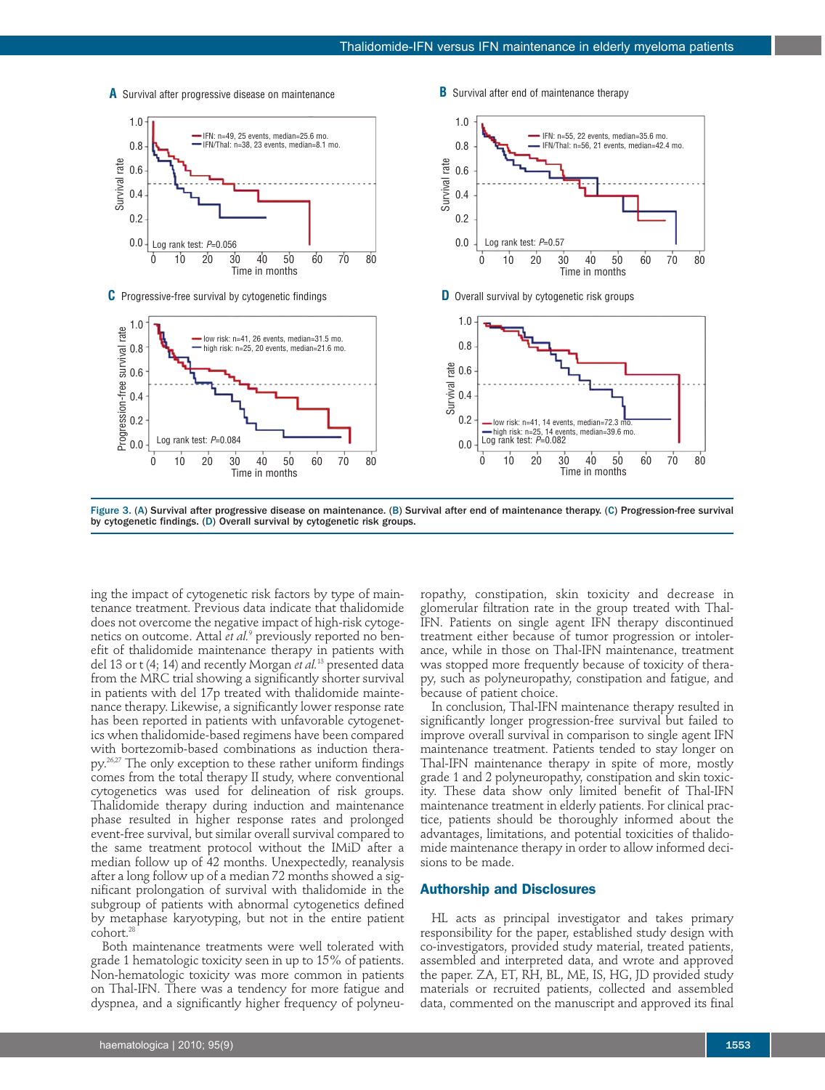

**A** Survival after progressive disease on maintenance **B** Survival after end of maintenance therapy

Figure 3. (A) Survival after progressive disease on maintenance. (B) Survival after end of maintenance therapy. (C) Progression-free survival by cytogenetic findings. (D) Overall survival by cytogenetic risk groups.

ing the impact of cytogenetic risk factors by type of maintenance treatment. Previous data indicate that thalidomide does not overcome the negative impact of high-risk cytogenetics on outcome. Attal *et al.* <sup>9</sup> previously reported no benefit of thalidomide maintenance therapy in patients with del 13 or t (4; 14) and recently Morgan *et al.* <sup>13</sup> presented data from the MRC trial showing a significantly shorter survival in patients with del 17p treated with thalidomide maintenance therapy. Likewise, a significantly lower response rate has been reported in patients with unfavorable cytogenetics when thalidomide-based regimens have been compared with bortezomib-based combinations as induction therapy.<sup>26,27</sup> The only exception to these rather uniform findings comes from the total therapy II study, where conventional cytogenetics was used for delineation of risk groups. Thalidomide therapy during induction and maintenance phase resulted in higher response rates and prolonged event-free survival, but similar overall survival compared to the same treatment protocol without the IMiD after a median follow up of 42 months. Unexpectedly, reanalysis after a long follow up of a median 72 months showed a significant prolongation of survival with thalidomide in the subgroup of patients with abnormal cytogenetics defined by metaphase karyotyping, but not in the entire patient cohort. 28

Both maintenance treatments were well tolerated with grade 1 hematologic toxicity seen in up to 15% of patients. Non-hematologic toxicity was more common in patients on Thal-IFN. There was a tendency for more fatigue and dyspnea, and a significantly higher frequency of polyneu-

ropathy, constipation, skin toxicity and decrease in glomerular filtration rate in the group treated with Thal-IFN. Patients on single agent IFN therapy discontinued treatment either because of tumor progression or intolerance, while in those on Thal-IFN maintenance, treatment was stopped more frequently because of toxicity of therapy, such as polyneuropathy, constipation and fatigue, and because of patient choice.

In conclusion, Thal-IFN maintenance therapy resulted in significantly longer progression-free survival but failed to improve overall survival in comparison to single agent IFN maintenance treatment. Patients tended to stay longer on Thal-IFN maintenance therapy in spite of more, mostly grade 1 and 2 polyneuropathy, constipation and skin toxicity. These data show only limited benefit of Thal-IFN maintenance treatment in elderly patients. For clinical practice, patients should be thoroughly informed about the advantages, limitations, and potential toxicities of thalidomide maintenance therapy in order to allow informed decisions to be made.

# **Authorship and Disclosures**

HL acts as principal investigator and takes primary responsibility for the paper, established study design with co-investigators, provided study material, treated patients, assembled and interpreted data, and wrote and approved the paper. ZA, ET, RH, BL, ME, IS, HG, JD provided study materials or recruited patients, collected and assembled data, commented on the manuscript and approved its final